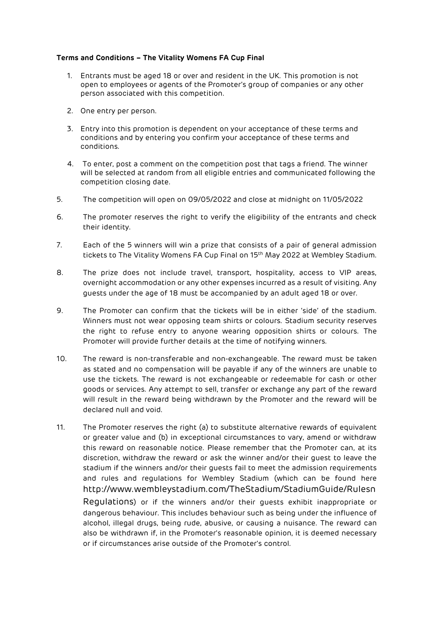## **Terms and Conditions – The Vitality Womens FA Cup Final**

- 1. Entrants must be aged 18 or over and resident in the UK. This promotion is not open to employees or agents of the Promoter's group of companies or any other person associated with this competition.
- 2. One entry per person.
- 3. Entry into this promotion is dependent on your acceptance of these terms and conditions and by entering you confirm your acceptance of these terms and conditions.
- 4. To enter, post a comment on the competition post that tags a friend. The winner will be selected at random from all eligible entries and communicated following the competition closing date.
- 5. The competition will open on 09/05/2022 and close at midnight on 11/05/2022
- 6. The promoter reserves the right to verify the eligibility of the entrants and check their identity.
- 7. Each of the 5 winners will win a prize that consists of a pair of general admission tickets to The Vitality Womens FA Cup Final on 15th May 2022 at Wembley Stadium.
- 8. The prize does not include travel, transport, hospitality, access to VIP areas, overnight accommodation or any other expenses incurred as a result of visiting. Any guests under the age of 18 must be accompanied by an adult aged 18 or over.
- 9. The Promoter can confirm that the tickets will be in either 'side' of the stadium. Winners must not wear opposing team shirts or colours. Stadium security reserves the right to refuse entry to anyone wearing opposition shirts or colours. The Promoter will provide further details at the time of notifying winners.
- 10. The reward is non-transferable and non-exchangeable. The reward must be taken as stated and no compensation will be payable if any of the winners are unable to use the tickets. The reward is not exchangeable or redeemable for cash or other goods or services. Any attempt to sell, transfer or exchange any part of the reward will result in the reward being withdrawn by the Promoter and the reward will be declared null and void.
- 11. The Promoter reserves the right (a) to substitute alternative rewards of equivalent or greater value and (b) in exceptional circumstances to vary, amend or withdraw this reward on reasonable notice. Please remember that the Promoter can, at its discretion, withdraw the reward or ask the winner and/or their guest to leave the stadium if the winners and/or their guests fail to meet the admission requirements and rules and regulations for Wembley Stadium (which can be found here [http://www.wembleystadium.com/TheStadium/StadiumGuide/Rulesn](http://www.wembleystadium.com/TheStadium/StadiumGuide/RulesnRegulations) [Regulations](http://www.wembleystadium.com/TheStadium/StadiumGuide/RulesnRegulations)) or if the winners and/or their guests exhibit inappropriate or dangerous behaviour. This includes behaviour such as being under the influence of alcohol, illegal drugs, being rude, abusive, or causing a nuisance. The reward can also be withdrawn if, in the Promoter's reasonable opinion, it is deemed necessary or if circumstances arise outside of the Promoter's control.